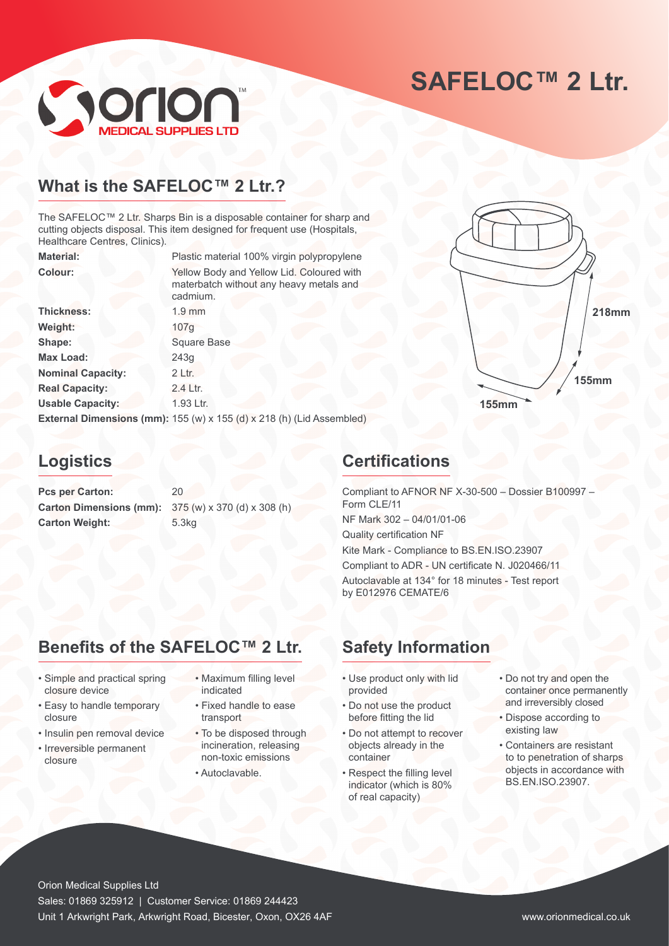# **SAFELOC™ 2 Ltr.**



### **What is the SAFELOC™ 2 Ltr.?**

The SAFELOC™ 2 Ltr. Sharps Bin is a disposable container for sharp and cutting objects disposal. This item designed for frequent use (Hospitals, Healthcare Centres, Clinics).

| <b>Material:</b>         | Plastic material 100% virgin polypropylene                                                       |
|--------------------------|--------------------------------------------------------------------------------------------------|
| <b>Colour:</b>           | Yellow Body and Yellow Lid. Coloured with<br>materbatch without any heavy metals and<br>cadmium. |
| <b>Thickness:</b>        | $1.9$ mm                                                                                         |
| Weight:                  | 107g                                                                                             |
| Shape:                   | <b>Square Base</b>                                                                               |
| <b>Max Load:</b>         | 243g                                                                                             |
| <b>Nominal Capacity:</b> | 2 Ltr.                                                                                           |
| <b>Real Capacity:</b>    | 2.4 Ltr.                                                                                         |
| <b>Usable Capacity:</b>  | 1.93 Ltr.                                                                                        |
|                          | External Dimensions (mm): 155 (w) x 155 (d) x 218 (h) (Lid Assembled)                            |



Pcs per Carton: 20 **Carton Dimensions (mm):** 375 (w) x 370 (d) x 308 (h) **Carton Weight:** 5.3kg

### **Certifications**

Compliant to AFNOR NF X-30-500 – Dossier B100997 – Form CLE/11 NF Mark 302 – 04/01/01-06 Quality certification NF Kite Mark - Compliance to BS.EN.ISO.23907 Compliant to ADR - UN certificate N. J020466/11 Autoclavable at 134° for 18 minutes - Test report by E012976 CEMATE/6

**155mm**

### **Benefits of the SAFELOC™ 2 Ltr. Safety Information**

- Simple and practical spring closure device
- Easy to handle temporary closure
- Insulin pen removal device
- Irreversible permanent closure
- Maximum filling level indicated
- Fixed handle to ease transport
- To be disposed through incineration, releasing non-toxic emissions
- Autoclavable.

- Use product only with lid provided
- Do not use the product before fitting the lid
- Do not attempt to recover objects already in the container
- Respect the filling level indicator (which is 80% of real capacity)
- Do not try and open the container once permanently and irreversibly closed

**218mm**

**155mm**

- Dispose according to existing law
- Containers are resistant to to penetration of sharps objects in accordance with BS.EN.ISO.23907.

Orion Medical Supplies Ltd Sales: 01869 325912 | Customer Service: 01869 244423 Unit 1 Arkwright Park, Arkwright Road, Bicester, Oxon, OX26 4AF www.orionmedical.co.uk